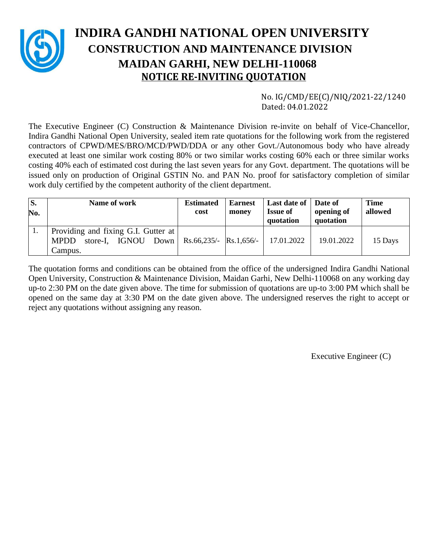

# **INDIRA GANDHI NATIONAL OPEN UNIVERSITY CONSTRUCTION AND MAINTENANCE DIVISION MAIDAN GARHI, NEW DELHI-110068 NOTICE RE-INVITING QUOTATION**

 No. IG/CMD/EE(C)/NIQ/2021-22/1240 Dated: 04.01.2022

The Executive Engineer (C) Construction & Maintenance Division re-invite on behalf of Vice-Chancellor, Indira Gandhi National Open University, sealed item rate quotations for the following work from the registered contractors of CPWD/MES/BRO/MCD/PWD/DDA or any other Govt./Autonomous body who have already executed at least one similar work costing 80% or two similar works costing 60% each or three similar works costing 40% each of estimated cost during the last seven years for any Govt. department. The quotations will be issued only on production of Original GSTIN No. and PAN No. proof for satisfactory completion of similar work duly certified by the competent authority of the client department.

| S.<br>No. | Name of work                                                                              | <b>Estimated</b><br>cost        | <b>Earnest</b><br>money | Last date of   Date of<br><b>Issue of</b><br>quotation | opening of<br>quotation | <b>Time</b><br>allowed |
|-----------|-------------------------------------------------------------------------------------------|---------------------------------|-------------------------|--------------------------------------------------------|-------------------------|------------------------|
|           | Providing and fixing G.I. Gutter at<br>store-I, IGNOU<br><b>MPDD</b><br>Down  <br>Campus. | $\text{Rs.66,235/-}$ Rs.1,656/- |                         | 17.01.2022                                             | 19.01.2022              | 15 Days                |

The quotation forms and conditions can be obtained from the office of the undersigned Indira Gandhi National Open University, Construction & Maintenance Division, Maidan Garhi, New Delhi-110068 on any working day up-to 2:30 PM on the date given above. The time for submission of quotations are up-to 3:00 PM which shall be opened on the same day at 3:30 PM on the date given above. The undersigned reserves the right to accept or reject any quotations without assigning any reason.

Executive Engineer (C)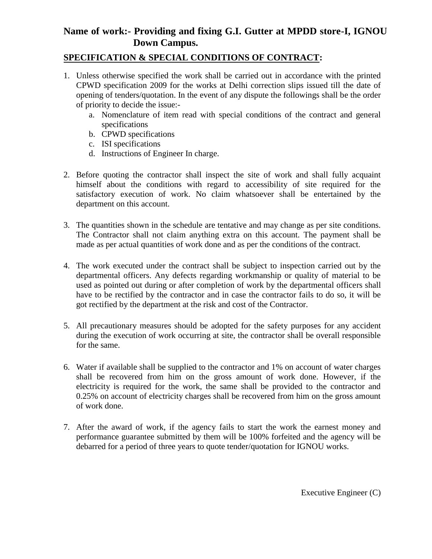## **Name of work:- Providing and fixing G.I. Gutter at MPDD store-I, IGNOU Down Campus.**

### **SPECIFICATION & SPECIAL CONDITIONS OF CONTRACT:**

- 1. Unless otherwise specified the work shall be carried out in accordance with the printed CPWD specification 2009 for the works at Delhi correction slips issued till the date of opening of tenders/quotation. In the event of any dispute the followings shall be the order of priority to decide the issue:
	- a. Nomenclature of item read with special conditions of the contract and general specifications
	- b. CPWD specifications
	- c. ISI specifications
	- d. Instructions of Engineer In charge.
- 2. Before quoting the contractor shall inspect the site of work and shall fully acquaint himself about the conditions with regard to accessibility of site required for the satisfactory execution of work. No claim whatsoever shall be entertained by the department on this account.
- 3. The quantities shown in the schedule are tentative and may change as per site conditions. The Contractor shall not claim anything extra on this account. The payment shall be made as per actual quantities of work done and as per the conditions of the contract.
- 4. The work executed under the contract shall be subject to inspection carried out by the departmental officers. Any defects regarding workmanship or quality of material to be used as pointed out during or after completion of work by the departmental officers shall have to be rectified by the contractor and in case the contractor fails to do so, it will be got rectified by the department at the risk and cost of the Contractor.
- 5. All precautionary measures should be adopted for the safety purposes for any accident during the execution of work occurring at site, the contractor shall be overall responsible for the same.
- 6. Water if available shall be supplied to the contractor and 1% on account of water charges shall be recovered from him on the gross amount of work done. However, if the electricity is required for the work, the same shall be provided to the contractor and 0.25% on account of electricity charges shall be recovered from him on the gross amount of work done.
- 7. After the award of work, if the agency fails to start the work the earnest money and performance guarantee submitted by them will be 100% forfeited and the agency will be debarred for a period of three years to quote tender/quotation for IGNOU works.